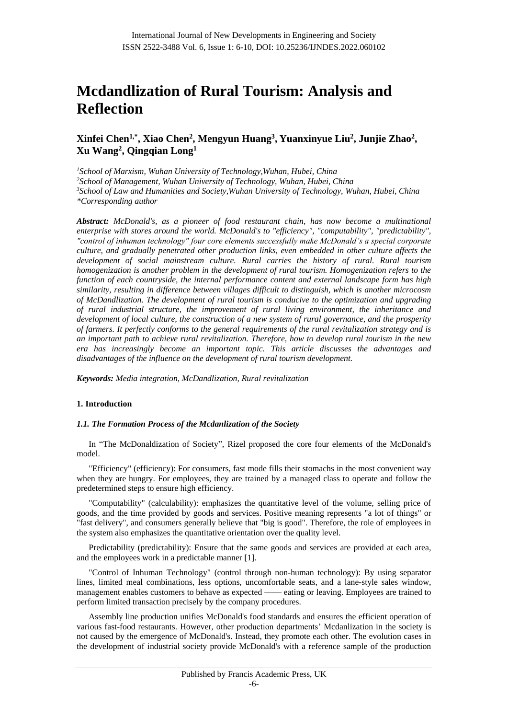# **Mcdandlization of Rural Tourism: Analysis and Reflection**

# **Xinfei Chen1,\* , Xiao Chen<sup>2</sup> , Mengyun Huang<sup>3</sup> , Yuanxinyue Liu<sup>2</sup> , Junjie Zhao<sup>2</sup> , Xu Wang<sup>2</sup> , Qingqian Long<sup>1</sup>**

*School of Marxism, Wuhan University of Technology,Wuhan, Hubei, China School of Management, Wuhan University of Technology, Wuhan, Hubei, China School of Law and Humanities and Society,Wuhan University of Technology, Wuhan, Hubei, China \*Corresponding author*

*Abstract: McDonald's, as a pioneer of food restaurant chain, has now become a multinational enterprise with stores around the world. McDonald's to "efficiency", "computability", "predictability", "control of inhuman technology" four core elements successfully make McDonald's a special corporate culture, and gradually penetrated other production links, even embedded in other culture affects the development of social mainstream culture. Rural carries the history of rural. Rural tourism homogenization is another problem in the development of rural tourism. Homogenization refers to the function of each countryside, the internal performance content and external landscape form has high similarity, resulting in difference between villages difficult to distinguish, which is another microcosm of McDandlization. The development of rural tourism is conducive to the optimization and upgrading of rural industrial structure, the improvement of rural living environment, the inheritance and development of local culture, the construction of a new system of rural governance, and the prosperity of farmers. It perfectly conforms to the general requirements of the rural revitalization strategy and is an important path to achieve rural revitalization. Therefore, how to develop rural tourism in the new era has increasingly become an important topic. This article discusses the advantages and disadvantages of the influence on the development of rural tourism development.*

*Keywords: Media integration, McDandlization, Rural revitalization*

#### **1. Introduction**

#### *1.1. The Formation Process of the Mcdanlization of the Society*

In "The McDonaldization of Society", Rizel proposed the core four elements of the McDonald's model.

"Efficiency" (efficiency): For consumers, fast mode fills their stomachs in the most convenient way when they are hungry. For employees, they are trained by a managed class to operate and follow the predetermined steps to ensure high efficiency.

"Computability" (calculability): emphasizes the quantitative level of the volume, selling price of goods, and the time provided by goods and services. Positive meaning represents "a lot of things" or "fast delivery", and consumers generally believe that "big is good". Therefore, the role of employees in the system also emphasizes the quantitative orientation over the quality level.

Predictability (predictability): Ensure that the same goods and services are provided at each area, and the employees work in a predictable manner [1].

"Control of Inhuman Technology" (control through non-human technology): By using separator lines, limited meal combinations, less options, uncomfortable seats, and a lane-style sales window, management enables customers to behave as expected —— eating or leaving. Employees are trained to perform limited transaction precisely by the company procedures.

Assembly line production unifies McDonald's food standards and ensures the efficient operation of various fast-food restaurants. However, other production departments' Mcdanlization in the society is not caused by the emergence of McDonald's. Instead, they promote each other. The evolution cases in the development of industrial society provide McDonald's with a reference sample of the production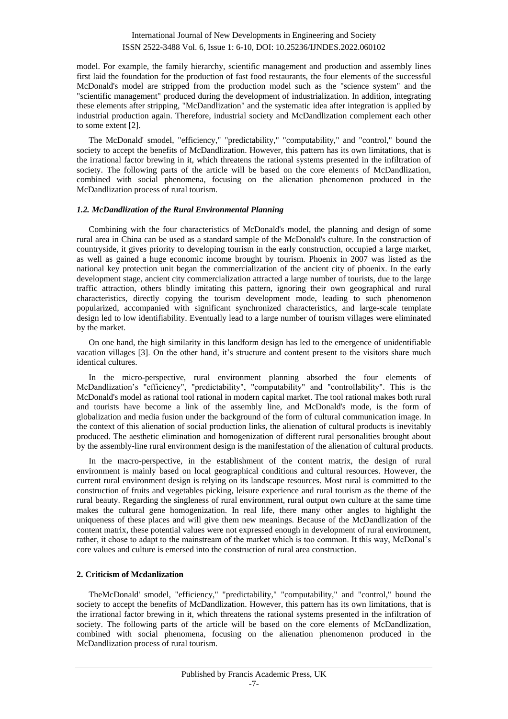model. For example, the family hierarchy, scientific management and production and assembly lines first laid the foundation for the production of fast food restaurants, the four elements of the successful McDonald's model are stripped from the production model such as the "science system" and the "scientific management" produced during the development of industrialization. In addition, integrating these elements after stripping, "McDandlization" and the systematic idea after integration is applied by industrial production again. Therefore, industrial society and McDandlization complement each other to some extent [2].

The McDonald' smodel, "efficiency," "predictability," "computability," and "control," bound the society to accept the benefits of McDandlization. However, this pattern has its own limitations, that is the irrational factor brewing in it, which threatens the rational systems presented in the infiltration of society. The following parts of the article will be based on the core elements of McDandlization, combined with social phenomena, focusing on the alienation phenomenon produced in the McDandlization process of rural tourism.

#### *1.2. McDandlization of the Rural Environmental Planning*

Combining with the four characteristics of McDonald's model, the planning and design of some rural area in China can be used as a standard sample of the McDonald's culture. In the construction of countryside, it gives priority to developing tourism in the early construction, occupied a large market, as well as gained a huge economic income brought by tourism. Phoenix in 2007 was listed as the national key protection unit began the commercialization of the ancient city of phoenix. In the early development stage, ancient city commercialization attracted a large number of tourists, due to the large traffic attraction, others blindly imitating this pattern, ignoring their own geographical and rural characteristics, directly copying the tourism development mode, leading to such phenomenon popularized, accompanied with significant synchronized characteristics, and large-scale template design led to low identifiability. Eventually lead to a large number of tourism villages were eliminated by the market.

On one hand, the high similarity in this landform design has led to the emergence of unidentifiable vacation villages [3]. On the other hand, it's structure and content present to the visitors share much identical cultures.

In the micro-perspective, rural environment planning absorbed the four elements of McDandlization's "efficiency", "predictability", "computability" and "controllability". This is the McDonald's model as rational tool rational in modern capital market. The tool rational makes both rural and tourists have become a link of the assembly line, and McDonald's mode, is the form of globalization and media fusion under the background of the form of cultural communication image. In the context of this alienation of social production links, the alienation of cultural products is inevitably produced. The aesthetic elimination and homogenization of different rural personalities brought about by the assembly-line rural environment design is the manifestation of the alienation of cultural products.

In the macro-perspective, in the establishment of the content matrix, the design of rural environment is mainly based on local geographical conditions and cultural resources. However, the current rural environment design is relying on its landscape resources. Most rural is committed to the construction of fruits and vegetables picking, leisure experience and rural tourism as the theme of the rural beauty. Regarding the singleness of rural environment, rural output own culture at the same time makes the cultural gene homogenization. In real life, there many other angles to highlight the uniqueness of these places and will give them new meanings. Because of the McDandlization of the content matrix, these potential values were not expressed enough in development of rural environment, rather, it chose to adapt to the mainstream of the market which is too common. It this way, McDonal's core values and culture is emersed into the construction of rural area construction.

## **2. Criticism of Mcdanlization**

TheMcDonald' smodel, "efficiency," "predictability," "computability," and "control," bound the society to accept the benefits of McDandlization. However, this pattern has its own limitations, that is the irrational factor brewing in it, which threatens the rational systems presented in the infiltration of society. The following parts of the article will be based on the core elements of McDandlization, combined with social phenomena, focusing on the alienation phenomenon produced in the McDandlization process of rural tourism.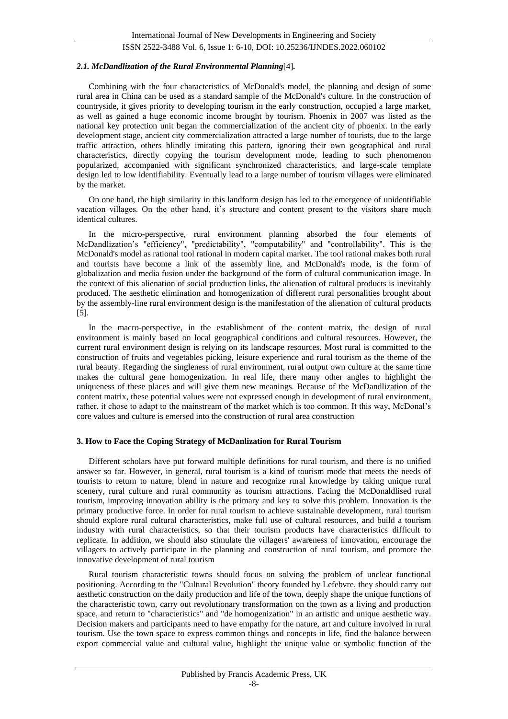#### *2.1. McDandlization of the Rural Environmental Planning*[4]*.*

Combining with the four characteristics of McDonald's model, the planning and design of some rural area in China can be used as a standard sample of the McDonald's culture. In the construction of countryside, it gives priority to developing tourism in the early construction, occupied a large market, as well as gained a huge economic income brought by tourism. Phoenix in 2007 was listed as the national key protection unit began the commercialization of the ancient city of phoenix. In the early development stage, ancient city commercialization attracted a large number of tourists, due to the large traffic attraction, others blindly imitating this pattern, ignoring their own geographical and rural characteristics, directly copying the tourism development mode, leading to such phenomenon popularized, accompanied with significant synchronized characteristics, and large-scale template design led to low identifiability. Eventually lead to a large number of tourism villages were eliminated by the market.

On one hand, the high similarity in this landform design has led to the emergence of unidentifiable vacation villages. On the other hand, it's structure and content present to the visitors share much identical cultures.

In the micro-perspective, rural environment planning absorbed the four elements of McDandlization's "efficiency", "predictability", "computability" and "controllability". This is the McDonald's model as rational tool rational in modern capital market. The tool rational makes both rural and tourists have become a link of the assembly line, and McDonald's mode, is the form of globalization and media fusion under the background of the form of cultural communication image. In the context of this alienation of social production links, the alienation of cultural products is inevitably produced. The aesthetic elimination and homogenization of different rural personalities brought about by the assembly-line rural environment design is the manifestation of the alienation of cultural products [5].

In the macro-perspective, in the establishment of the content matrix, the design of rural environment is mainly based on local geographical conditions and cultural resources. However, the current rural environment design is relying on its landscape resources. Most rural is committed to the construction of fruits and vegetables picking, leisure experience and rural tourism as the theme of the rural beauty. Regarding the singleness of rural environment, rural output own culture at the same time makes the cultural gene homogenization. In real life, there many other angles to highlight the uniqueness of these places and will give them new meanings. Because of the McDandlization of the content matrix, these potential values were not expressed enough in development of rural environment, rather, it chose to adapt to the mainstream of the market which is too common. It this way, McDonal's core values and culture is emersed into the construction of rural area construction

#### **3. How to Face the Coping Strategy of McDanlization for Rural Tourism**

Different scholars have put forward multiple definitions for rural tourism, and there is no unified answer so far. However, in general, rural tourism is a kind of tourism mode that meets the needs of tourists to return to nature, blend in nature and recognize rural knowledge by taking unique rural scenery, rural culture and rural community as tourism attractions. Facing the McDonaldlised rural tourism, improving innovation ability is the primary and key to solve this problem. Innovation is the primary productive force. In order for rural tourism to achieve sustainable development, rural tourism should explore rural cultural characteristics, make full use of cultural resources, and build a tourism industry with rural characteristics, so that their tourism products have characteristics difficult to replicate. In addition, we should also stimulate the villagers' awareness of innovation, encourage the villagers to actively participate in the planning and construction of rural tourism, and promote the innovative development of rural tourism

Rural tourism characteristic towns should focus on solving the problem of unclear functional positioning. According to the "Cultural Revolution" theory founded by Lefebvre, they should carry out aesthetic construction on the daily production and life of the town, deeply shape the unique functions of the characteristic town, carry out revolutionary transformation on the town as a living and production space, and return to "characteristics" and "de homogenization" in an artistic and unique aesthetic way. Decision makers and participants need to have empathy for the nature, art and culture involved in rural tourism. Use the town space to express common things and concepts in life, find the balance between export commercial value and cultural value, highlight the unique value or symbolic function of the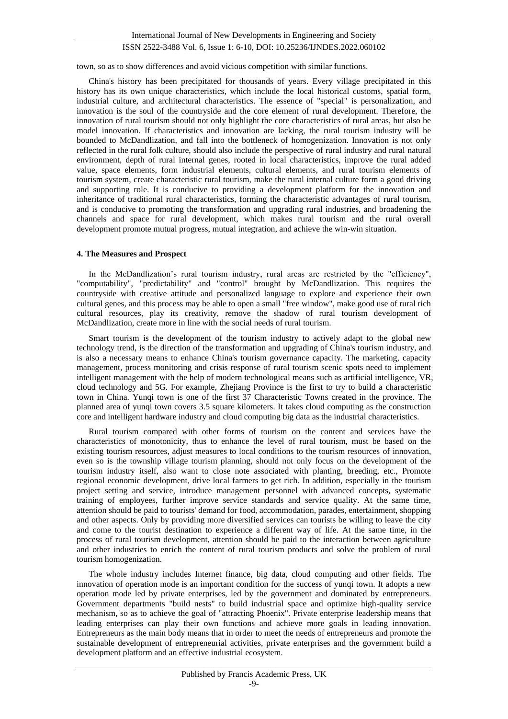town, so as to show differences and avoid vicious competition with similar functions.

China's history has been precipitated for thousands of years. Every village precipitated in this history has its own unique characteristics, which include the local historical customs, spatial form, industrial culture, and architectural characteristics. The essence of "special" is personalization, and innovation is the soul of the countryside and the core element of rural development. Therefore, the innovation of rural tourism should not only highlight the core characteristics of rural areas, but also be model innovation. If characteristics and innovation are lacking, the rural tourism industry will be bounded to McDandlization, and fall into the bottleneck of homogenization. Innovation is not only reflected in the rural folk culture, should also include the perspective of rural industry and rural natural environment, depth of rural internal genes, rooted in local characteristics, improve the rural added value, space elements, form industrial elements, cultural elements, and rural tourism elements of tourism system, create characteristic rural tourism, make the rural internal culture form a good driving and supporting role. It is conducive to providing a development platform for the innovation and inheritance of traditional rural characteristics, forming the characteristic advantages of rural tourism, and is conducive to promoting the transformation and upgrading rural industries, and broadening the channels and space for rural development, which makes rural tourism and the rural overall development promote mutual progress, mutual integration, and achieve the win-win situation.

#### **4. The Measures and Prospect**

In the McDandlization's rural tourism industry, rural areas are restricted by the "efficiency", "computability", "predictability" and "control" brought by McDandlization. This requires the countryside with creative attitude and personalized language to explore and experience their own cultural genes, and this process may be able to open a small "free window", make good use of rural rich cultural resources, play its creativity, remove the shadow of rural tourism development of McDandlization, create more in line with the social needs of rural tourism.

Smart tourism is the development of the tourism industry to actively adapt to the global new technology trend, is the direction of the transformation and upgrading of China's tourism industry, and is also a necessary means to enhance China's tourism governance capacity. The marketing, capacity management, process monitoring and crisis response of rural tourism scenic spots need to implement intelligent management with the help of modern technological means such as artificial intelligence, VR, cloud technology and 5G. For example, Zhejiang Province is the first to try to build a characteristic town in China. Yunqi town is one of the first 37 Characteristic Towns created in the province. The planned area of yunqi town covers 3.5 square kilometers. It takes cloud computing as the construction core and intelligent hardware industry and cloud computing big data as the industrial characteristics.

Rural tourism compared with other forms of tourism on the content and services have the characteristics of monotonicity, thus to enhance the level of rural tourism, must be based on the existing tourism resources, adjust measures to local conditions to the tourism resources of innovation, even so is the township village tourism planning, should not only focus on the development of the tourism industry itself, also want to close note associated with planting, breeding, etc., Promote regional economic development, drive local farmers to get rich. In addition, especially in the tourism project setting and service, introduce management personnel with advanced concepts, systematic training of employees, further improve service standards and service quality. At the same time, attention should be paid to tourists' demand for food, accommodation, parades, entertainment, shopping and other aspects. Only by providing more diversified services can tourists be willing to leave the city and come to the tourist destination to experience a different way of life. At the same time, in the process of rural tourism development, attention should be paid to the interaction between agriculture and other industries to enrich the content of rural tourism products and solve the problem of rural tourism homogenization.

The whole industry includes Internet finance, big data, cloud computing and other fields. The innovation of operation mode is an important condition for the success of yunqi town. It adopts a new operation mode led by private enterprises, led by the government and dominated by entrepreneurs. Government departments "build nests" to build industrial space and optimize high-quality service mechanism, so as to achieve the goal of "attracting Phoenix". Private enterprise leadership means that leading enterprises can play their own functions and achieve more goals in leading innovation. Entrepreneurs as the main body means that in order to meet the needs of entrepreneurs and promote the sustainable development of entrepreneurial activities, private enterprises and the government build a development platform and an effective industrial ecosystem.